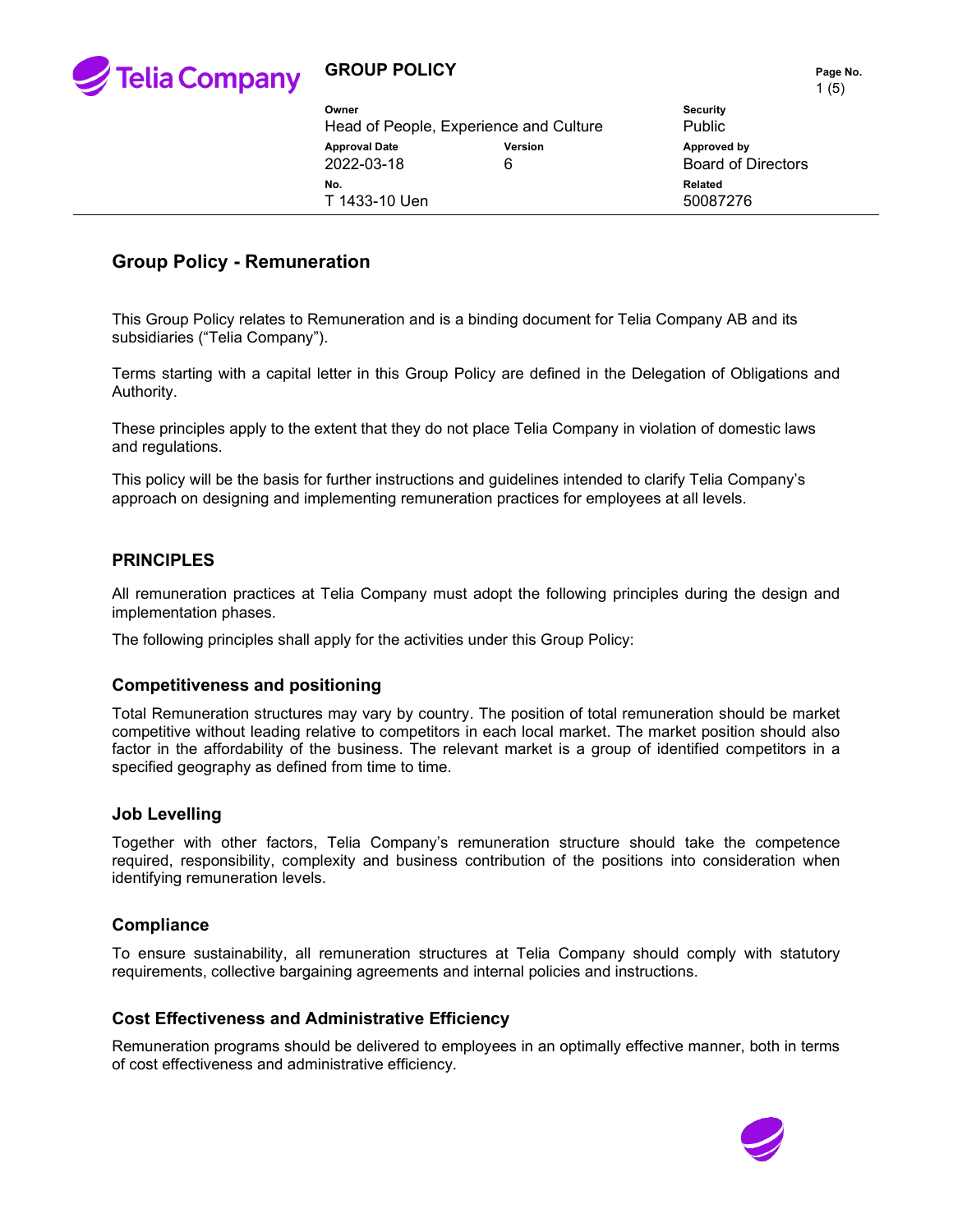

# **GROUP POLICY PAGE NO. Page No. Page No.**

|                                                 |                |                                          | $\cdot$ $\cdot$ $\cdot$ $\cdot$ |
|-------------------------------------------------|----------------|------------------------------------------|---------------------------------|
| Owner<br>Head of People, Experience and Culture |                | <b>Security</b><br>Public                |                                 |
| <b>Approval Date</b><br>2022-03-18              | <b>Version</b> | Approved by<br><b>Board of Directors</b> |                                 |
| No.<br>T 1433-10 Uen                            |                | Related<br>50087276                      |                                 |

# **Group Policy - Remuneration**

This Group Policy relates to Remuneration and is a binding document for Telia Company AB and its subsidiaries ("Telia Company").

Terms starting with a capital letter in this Group Policy are defined in the Delegation of Obligations and Authority.

These principles apply to the extent that they do not place Telia Company in violation of domestic laws and regulations.

This policy will be the basis for further instructions and guidelines intended to clarify Telia Company's approach on designing and implementing remuneration practices for employees at all levels.

### **PRINCIPLES**

All remuneration practices at Telia Company must adopt the following principles during the design and implementation phases.

The following principles shall apply for the activities under this Group Policy:

#### **Competitiveness and positioning**

Total Remuneration structures may vary by country. The position of total remuneration should be market competitive without leading relative to competitors in each local market. The market position should also factor in the affordability of the business. The relevant market is a group of identified competitors in a specified geography as defined from time to time.

#### **Job Levelling**

Together with other factors, Telia Company's remuneration structure should take the competence required, responsibility, complexity and business contribution of the positions into consideration when identifying remuneration levels.

#### **Compliance**

To ensure sustainability, all remuneration structures at Telia Company should comply with statutory requirements, collective bargaining agreements and internal policies and instructions.

## **Cost Effectiveness and Administrative Efficiency**

Remuneration programs should be delivered to employees in an optimally effective manner, both in terms of cost effectiveness and administrative efficiency.

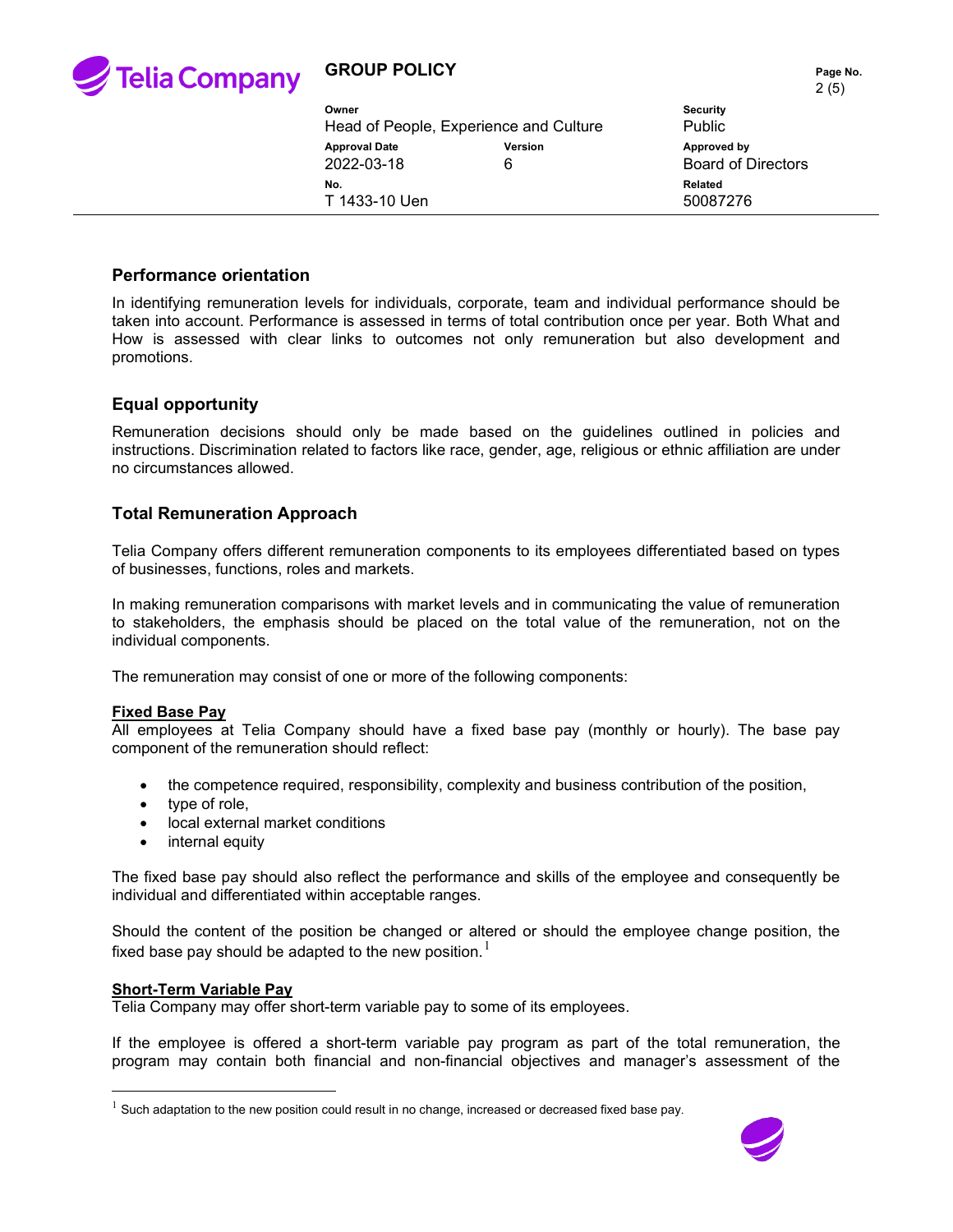

# **GROUP POLICY PAGE 10.** Page No.

|                                                 |                     | 2(5)                                     |  |
|-------------------------------------------------|---------------------|------------------------------------------|--|
| Owner<br>Head of People, Experience and Culture |                     | <b>Security</b><br><b>Public</b>         |  |
| <b>Approval Date</b><br>2022-03-18              | <b>Version</b><br>6 | Approved by<br><b>Board of Directors</b> |  |
| No.<br>T 1433-10 Uen                            |                     | <b>Related</b><br>50087276               |  |

### **Performance orientation**

In identifying remuneration levels for individuals, corporate, team and individual performance should be taken into account. Performance is assessed in terms of total contribution once per year. Both What and How is assessed with clear links to outcomes not only remuneration but also development and promotions.

### **Equal opportunity**

Remuneration decisions should only be made based on the guidelines outlined in policies and instructions. Discrimination related to factors like race, gender, age, religious or ethnic affiliation are under no circumstances allowed.

## **Total Remuneration Approach**

Telia Company offers different remuneration components to its employees differentiated based on types of businesses, functions, roles and markets.

In making remuneration comparisons with market levels and in communicating the value of remuneration to stakeholders, the emphasis should be placed on the total value of the remuneration, not on the individual components.

The remuneration may consist of one or more of the following components:

#### **Fixed Base Pay**

All employees at Telia Company should have a fixed base pay (monthly or hourly). The base pay component of the remuneration should reflect:

- the competence required, responsibility, complexity and business contribution of the position,
- type of role,
- local external market conditions
- internal equity

The fixed base pay should also reflect the performance and skills of the employee and consequently be individual and differentiated within acceptable ranges.

Should the content of the position be changed or altered or should the employee change position, the fixed base pay should be adapted to the new position.  $^{\mathrm{l}}$ 

#### **Short-Term Variable Pay**

Telia Company may offer short-term variable pay to some of its employees.

If the employee is offered a short-term variable pay program as part of the total remuneration, the program may contain both financial and non-financial objectives and manager's assessment of the

<span id="page-1-0"></span> $<sup>1</sup>$  Such adaptation to the new position could result in no change, increased or decreased fixed base pay.</sup>

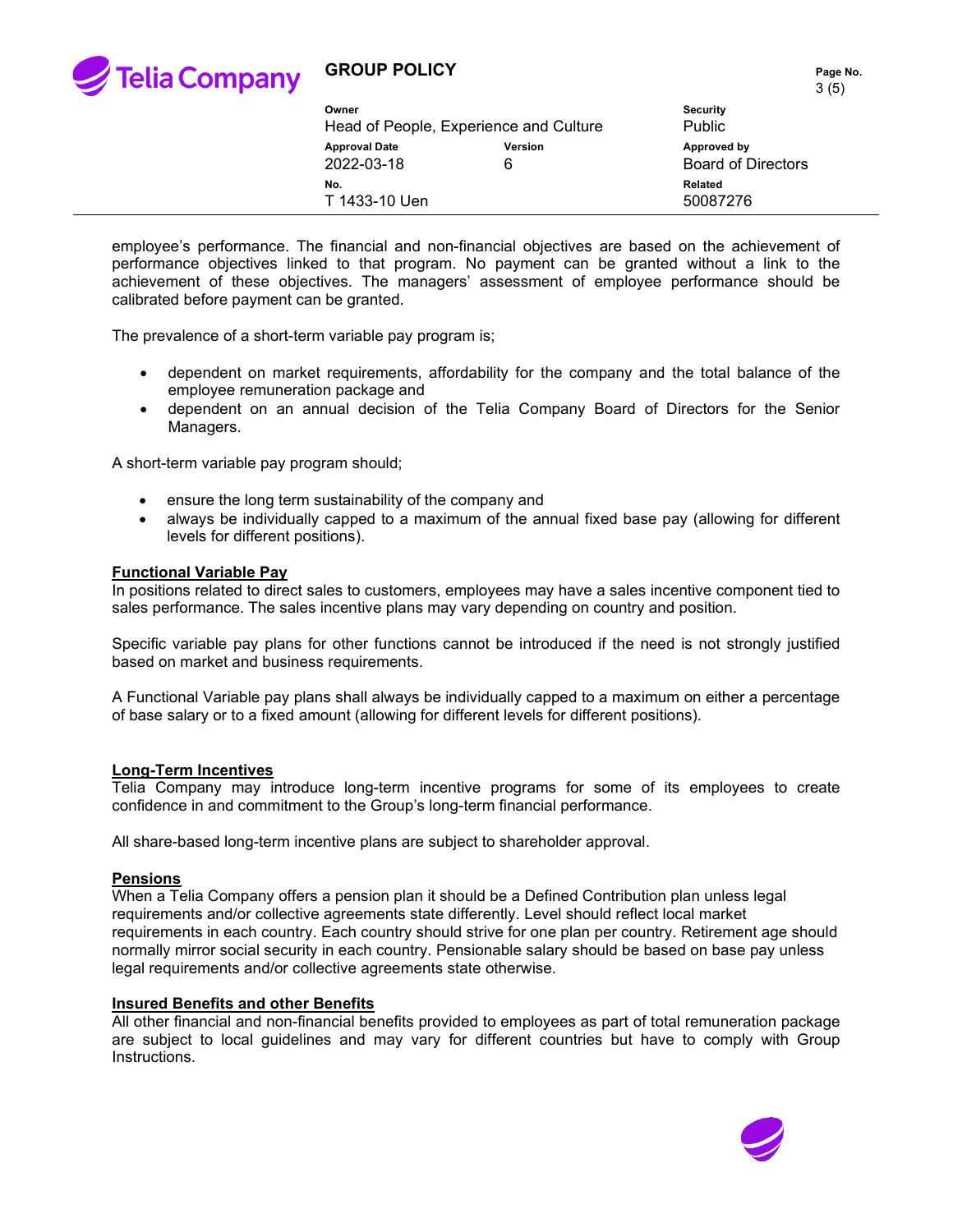

# **GROUP POLICY PAGE NO. Page No. Page No.**

3 (5)

| Owner                              | Head of People, Experience and Culture | $\sim$ 1 $\sim$ 1<br><b>Security</b><br>Public |
|------------------------------------|----------------------------------------|------------------------------------------------|
| <b>Approval Date</b><br>2022-03-18 | <b>Version</b><br>6                    | Approved by<br><b>Board of Directors</b>       |
| No.<br>T 1433-10 Uen               |                                        | Related<br>50087276                            |

employee's performance. The financial and non-financial objectives are based on the achievement of performance objectives linked to that program. No payment can be granted without a link to the achievement of these objectives. The managers' assessment of employee performance should be calibrated before payment can be granted.

The prevalence of a short-term variable pay program is;

- dependent on market requirements, affordability for the company and the total balance of the employee remuneration package and
- dependent on an annual decision of the Telia Company Board of Directors for the Senior Managers.

A short-term variable pay program should;

- ensure the long term sustainability of the company and
- always be individually capped to a maximum of the annual fixed base pay (allowing for different levels for different positions).

#### **Functional Variable Pay**

In positions related to direct sales to customers, employees may have a sales incentive component tied to sales performance. The sales incentive plans may vary depending on country and position.

Specific variable pay plans for other functions cannot be introduced if the need is not strongly justified based on market and business requirements.

A Functional Variable pay plans shall always be individually capped to a maximum on either a percentage of base salary or to a fixed amount (allowing for different levels for different positions).

#### **Long-Term Incentives**

Telia Company may introduce long-term incentive programs for some of its employees to create confidence in and commitment to the Group's long-term financial performance.

All share-based long-term incentive plans are subject to shareholder approval.

#### **Pensions**

When a Telia Company offers a pension plan it should be a Defined Contribution plan unless legal requirements and/or collective agreements state differently. Level should reflect local market requirements in each country. Each country should strive for one plan per country. Retirement age should normally mirror social security in each country. Pensionable salary should be based on base pay unless legal requirements and/or collective agreements state otherwise.

#### **Insured Benefits and other Benefits**

All other financial and non-financial benefits provided to employees as part of total remuneration package are subject to local guidelines and may vary for different countries but have to comply with Group Instructions.

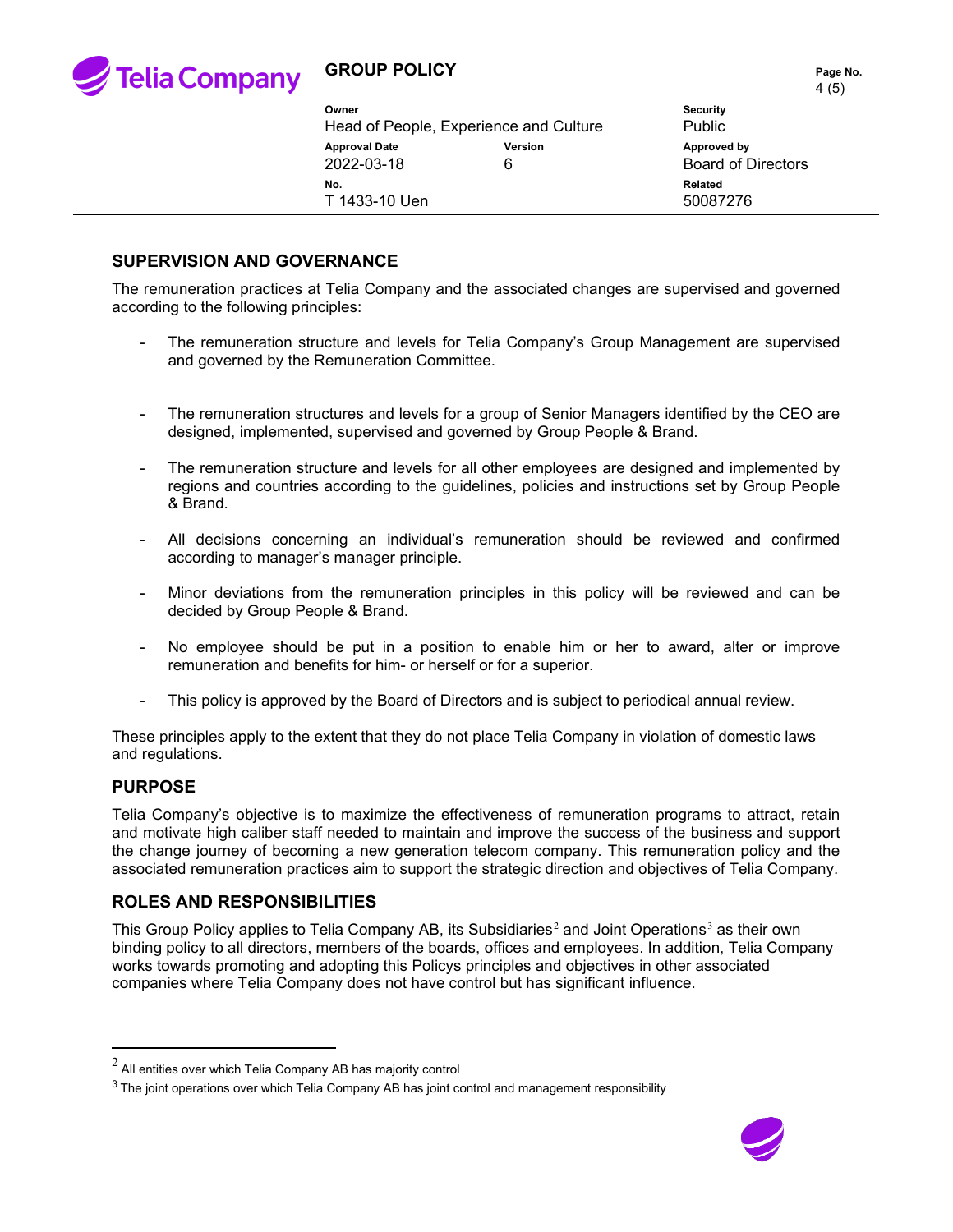

# **GROUP POLICY PAGE NO. Page No. Page No.**

| Owner<br>Head of People, Experience and Culture |                     | $\cdot$ $\cdot$ $\cdot$<br><b>Security</b><br><b>Public</b> |
|-------------------------------------------------|---------------------|-------------------------------------------------------------|
| <b>Approval Date</b><br>2022-03-18              | <b>Version</b><br>6 | Approved by<br><b>Board of Directors</b>                    |
| No.<br>T 1433-10 Uen                            |                     | Related<br>50087276                                         |

# **SUPERVISION AND GOVERNANCE**

The remuneration practices at Telia Company and the associated changes are supervised and governed according to the following principles:

- The remuneration structure and levels for Telia Company's Group Management are supervised and governed by the Remuneration Committee.
- The remuneration structures and levels for a group of Senior Managers identified by the CEO are designed, implemented, supervised and governed by Group People & Brand.
- The remuneration structure and levels for all other employees are designed and implemented by regions and countries according to the guidelines, policies and instructions set by Group People & Brand.
- All decisions concerning an individual's remuneration should be reviewed and confirmed according to manager's manager principle.
- Minor deviations from the remuneration principles in this policy will be reviewed and can be decided by Group People & Brand.
- No employee should be put in a position to enable him or her to award, alter or improve remuneration and benefits for him- or herself or for a superior.
- This policy is approved by the Board of Directors and is subject to periodical annual review.

These principles apply to the extent that they do not place Telia Company in violation of domestic laws and regulations.

## **PURPOSE**

Telia Company's objective is to maximize the effectiveness of remuneration programs to attract, retain and motivate high caliber staff needed to maintain and improve the success of the business and support the change journey of becoming a new generation telecom company. This remuneration policy and the associated remuneration practices aim to support the strategic direction and objectives of Telia Company.

# **ROLES AND RESPONSIBILITIES**

This Group Policy applies to Telia Company AB, its Subsidiaries<sup>[2](#page-3-0)</sup> and Joint Operations<sup>[3](#page-3-1)</sup> as their own binding policy to all directors, members of the boards, offices and employees. In addition, Telia Company works towards promoting and adopting this Policys principles and objectives in other associated companies where Telia Company does not have control but has significant influence.



<span id="page-3-0"></span> $^2$  All entities over which Telia Company AB has majority control

<span id="page-3-1"></span><sup>&</sup>lt;sup>3</sup> The joint operations over which Telia Company AB has joint control and management responsibility